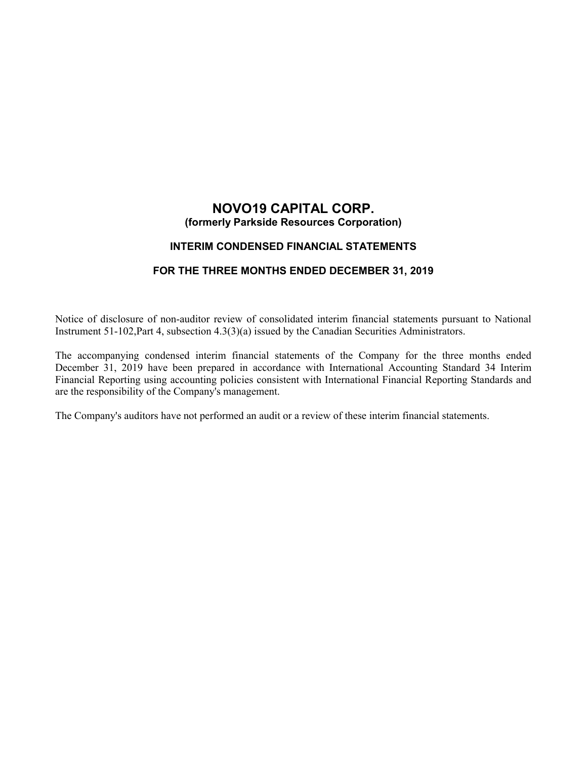# **NOVO19 CAPITAL CORP. (formerly Parkside Resources Corporation)**

## **INTERIM CONDENSED FINANCIAL STATEMENTS**

## **FOR THE THREE MONTHS ENDED DECEMBER 31, 2019**

Notice of disclosure of non-auditor review of consolidated interim financial statements pursuant to National Instrument 51-102,Part 4, subsection 4.3(3)(a) issued by the Canadian Securities Administrators.

The accompanying condensed interim financial statements of the Company for the three months ended December 31, 2019 have been prepared in accordance with International Accounting Standard 34 Interim Financial Reporting using accounting policies consistent with International Financial Reporting Standards and are the responsibility of the Company's management.

The Company's auditors have not performed an audit or a review of these interim financial statements.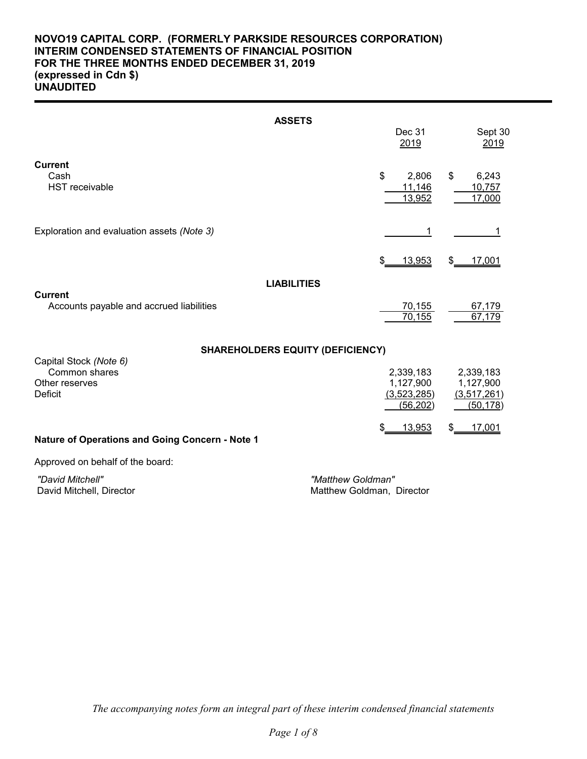## **NOVO19 CAPITAL CORP. (FORMERLY PARKSIDE RESOURCES CORPORATION) INTERIM CONDENSED STATEMENTS OF FINANCIAL POSITION FOR THE THREE MONTHS ENDED DECEMBER 31, 2019 (expressed in Cdn \$) UNAUDITED**

|                                                            | <b>ASSETS</b>                           |                                                    |                                                      |
|------------------------------------------------------------|-----------------------------------------|----------------------------------------------------|------------------------------------------------------|
|                                                            |                                         | Dec 31<br>2019                                     | Sept 30<br>2019                                      |
| <b>Current</b><br>Cash<br><b>HST</b> receivable            |                                         | \$<br>2,806<br>11,146<br>13,952                    | \$<br>6,243<br>10,757<br>17,000                      |
| Exploration and evaluation assets (Note 3)                 |                                         | 1                                                  |                                                      |
|                                                            |                                         | 13,953<br>\$                                       | \$<br>17,001                                         |
|                                                            | <b>LIABILITIES</b>                      |                                                    |                                                      |
| <b>Current</b><br>Accounts payable and accrued liabilities |                                         | 70,155<br>70,155                                   | 67,179<br>67,179                                     |
| Capital Stock (Note 6)                                     | <b>SHAREHOLDERS EQUITY (DEFICIENCY)</b> |                                                    |                                                      |
| Common shares<br>Other reserves<br>Deficit                 |                                         | 2,339,183<br>1,127,900<br>(3,523,285)<br>(56, 202) | 2,339,183<br>1,127,900<br>(3, 517, 261)<br>(50, 178) |
| Nature of Operations and Going Concern - Note 1            |                                         | 13,953<br>\$                                       | 17,001<br>\$                                         |
| Approved on behalf of the board:                           |                                         |                                                    |                                                      |
| "David Mitchell"                                           | "Matthew Goldman"                       |                                                    |                                                      |

David Mitchell, Director **Matthew Goldman, Director** Matthew Goldman, Director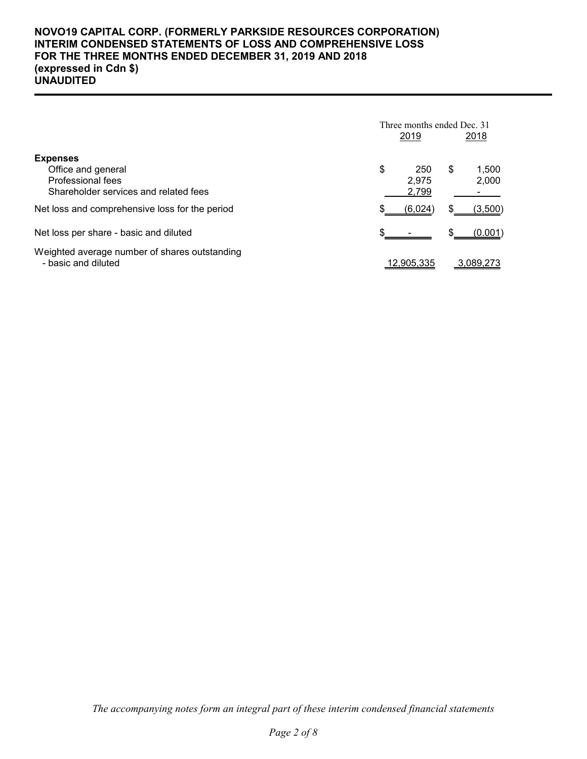## **NOVO19 CAPITAL CORP. (FORMERLY PARKSIDE RESOURCES CORPORATION) INTERIM CONDENSED STATEMENTS OF LOSS AND COMPREHENSIVE LOSS FOR THE THREE MONTHS ENDED DECEMBER 31, 2019 AND 2018 (expressed in Cdn \$) UNAUDITED**

|                                                                      | Three months ended Dec. 31 |            |    |           |  |
|----------------------------------------------------------------------|----------------------------|------------|----|-----------|--|
|                                                                      |                            | 2019       |    | 2018      |  |
| <b>Expenses</b>                                                      |                            |            |    |           |  |
| Office and general                                                   | \$                         | 250        | \$ | 1,500     |  |
| Professional fees                                                    |                            | 2.975      |    | 2,000     |  |
| Shareholder services and related fees                                |                            | 2,799      |    |           |  |
| Net loss and comprehensive loss for the period                       |                            | (6,024)    | S  | (3,500)   |  |
| Net loss per share - basic and diluted                               |                            |            | \$ | (0.001)   |  |
| Weighted average number of shares outstanding<br>- basic and diluted |                            | 12,905,335 |    | 3.089.273 |  |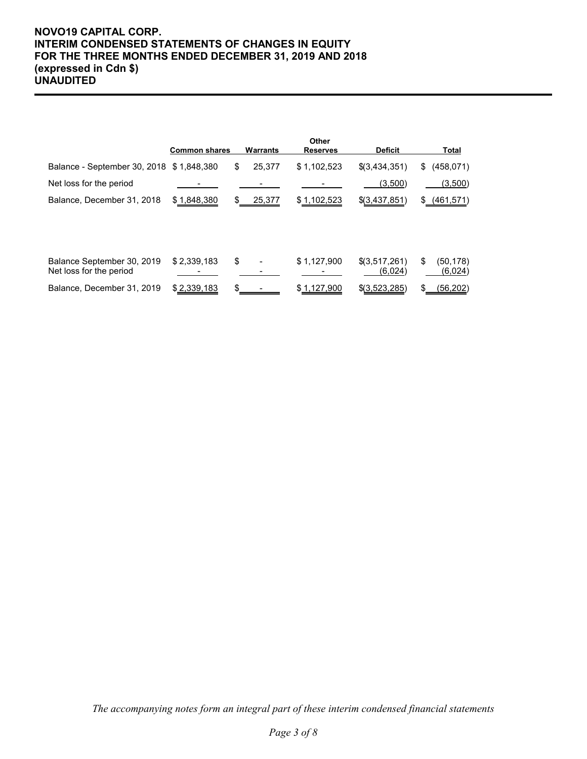## **NOVO19 CAPITAL CORP. INTERIM CONDENSED STATEMENTS OF CHANGES IN EQUITY FOR THE THREE MONTHS ENDED DECEMBER 31, 2019 AND 2018 (expressed in Cdn \$) UNAUDITED**

|                                                       | <b>Common shares</b> | Warrants     | Other<br><b>Reserves</b> | <b>Deficit</b>             |    | Total               |
|-------------------------------------------------------|----------------------|--------------|--------------------------|----------------------------|----|---------------------|
| Balance - September 30, 2018 \$1,848,380              |                      | \$<br>25,377 | \$1,102,523              | $$$ (3,434,351)            | \$ | (458, 071)          |
| Net loss for the period                               |                      |              |                          | (3,500)                    |    | (3,500)             |
| Balance, December 31, 2018                            | \$1,848,380          | 25,377       | \$1,102,523              | \$(3,437,851)              | S. | (461, 571)          |
|                                                       |                      |              |                          |                            |    |                     |
| Balance September 30, 2019<br>Net loss for the period | \$2,339,183          | \$           | \$1,127,900              | $$$ (3,517,261)<br>(6,024) | \$ | (50,178)<br>(6,024) |
| Balance, December 31, 2019                            | \$2,339,183          |              | \$1,127,900              | $$$ (3,523,285)            | \$ | (56,202)            |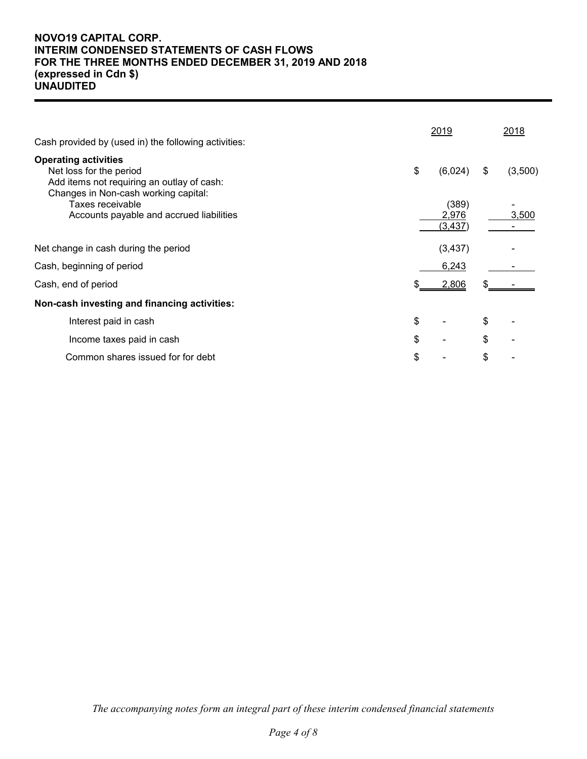## **NOVO19 CAPITAL CORP. INTERIM CONDENSED STATEMENTS OF CASH FLOWS FOR THE THREE MONTHS ENDED DECEMBER 31, 2019 AND 2018 (expressed in Cdn \$) UNAUDITED**

|     |                      |                                                 | 2018    |
|-----|----------------------|-------------------------------------------------|---------|
|     |                      | \$                                              | (3,500) |
|     | (389)<br>2,976       |                                                 | 3,500   |
|     |                      |                                                 |         |
|     | 6,243                |                                                 |         |
| SS. | 2,806                | S                                               |         |
|     |                      |                                                 |         |
|     |                      | \$                                              |         |
|     |                      | \$                                              |         |
|     |                      | \$                                              |         |
|     | \$<br>\$<br>\$<br>\$ | <u> 2019</u><br>(6,024)<br>(3, 437)<br>(3, 437) |         |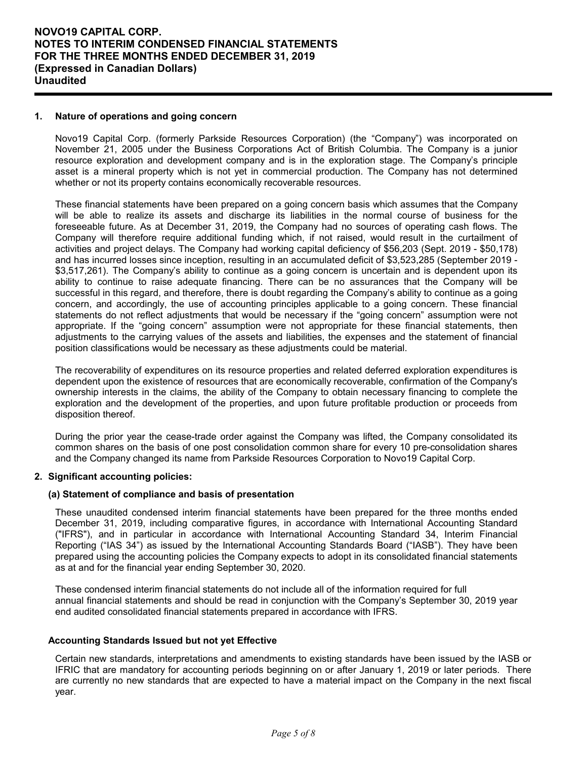### **1. Nature of operations and going concern**

Novo19 Capital Corp. (formerly Parkside Resources Corporation) (the "Company") was incorporated on November 21, 2005 under the Business Corporations Act of British Columbia. The Company is a junior resource exploration and development company and is in the exploration stage. The Company's principle asset is a mineral property which is not yet in commercial production. The Company has not determined whether or not its property contains economically recoverable resources.

These financial statements have been prepared on a going concern basis which assumes that the Company will be able to realize its assets and discharge its liabilities in the normal course of business for the foreseeable future. As at December 31, 2019, the Company had no sources of operating cash flows. The Company will therefore require additional funding which, if not raised, would result in the curtailment of activities and project delays. The Company had working capital deficiency of \$56,203 (Sept. 2019 - \$50,178) and has incurred losses since inception, resulting in an accumulated deficit of \$3,523,285 (September 2019 - \$3,517,261). The Company's ability to continue as a going concern is uncertain and is dependent upon its ability to continue to raise adequate financing. There can be no assurances that the Company will be successful in this regard, and therefore, there is doubt regarding the Company's ability to continue as a going concern, and accordingly, the use of accounting principles applicable to a going concern. These financial statements do not reflect adjustments that would be necessary if the "going concern" assumption were not appropriate. If the "going concern" assumption were not appropriate for these financial statements, then adjustments to the carrying values of the assets and liabilities, the expenses and the statement of financial position classifications would be necessary as these adjustments could be material.

The recoverability of expenditures on its resource properties and related deferred exploration expenditures is dependent upon the existence of resources that are economically recoverable, confirmation of the Company's ownership interests in the claims, the ability of the Company to obtain necessary financing to complete the exploration and the development of the properties, and upon future profitable production or proceeds from disposition thereof.

During the prior year the cease-trade order against the Company was lifted, the Company consolidated its common shares on the basis of one post consolidation common share for every 10 pre-consolidation shares and the Company changed its name from Parkside Resources Corporation to Novo19 Capital Corp.

#### **2. Significant accounting policies:**

#### **(a) Statement of compliance and basis of presentation**

These unaudited condensed interim financial statements have been prepared for the three months ended December 31, 2019, including comparative figures, in accordance with International Accounting Standard ("IFRS"), and in particular in accordance with International Accounting Standard 34, Interim Financial Reporting ("IAS 34") as issued by the International Accounting Standards Board ("IASB"). They have been prepared using the accounting policies the Company expects to adopt in its consolidated financial statements as at and for the financial year ending September 30, 2020.

These condensed interim financial statements do not include all of the information required for full annual financial statements and should be read in conjunction with the Company's September 30, 2019 year end audited consolidated financial statements prepared in accordance with IFRS.

#### **Accounting Standards Issued but not yet Effective**

Certain new standards, interpretations and amendments to existing standards have been issued by the IASB or IFRIC that are mandatory for accounting periods beginning on or after January 1, 2019 or later periods. There are currently no new standards that are expected to have a material impact on the Company in the next fiscal year.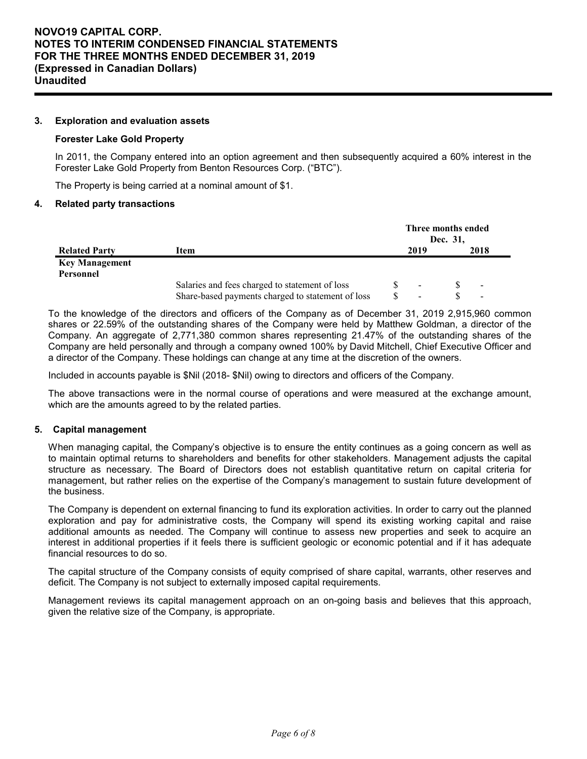### **3. Exploration and evaluation assets**

#### **Forester Lake Gold Property**

In 2011, the Company entered into an option agreement and then subsequently acquired a 60% interest in the Forester Lake Gold Property from Benton Resources Corp. ("BTC").

The Property is being carried at a nominal amount of \$1.

#### **4. Related party transactions**

|                       |                                                   | Three months ended       | Dec. 31, |                          |
|-----------------------|---------------------------------------------------|--------------------------|----------|--------------------------|
| <b>Related Party</b>  | Item                                              | 2019                     |          | 2018                     |
| <b>Key Management</b> |                                                   |                          |          |                          |
| Personnel             |                                                   |                          |          |                          |
|                       | Salaries and fees charged to statement of loss    | $\overline{\phantom{a}}$ |          | $\overline{\phantom{a}}$ |
|                       | Share-based payments charged to statement of loss | ۰                        |          | $\overline{\phantom{a}}$ |

To the knowledge of the directors and officers of the Company as of December 31, 2019 2,915,960 common shares or 22.59% of the outstanding shares of the Company were held by Matthew Goldman, a director of the Company. An aggregate of 2,771,380 common shares representing 21.47% of the outstanding shares of the Company are held personally and through a company owned 100% by David Mitchell, Chief Executive Officer and a director of the Company. These holdings can change at any time at the discretion of the owners.

Included in accounts payable is \$Nil (2018- \$Nil) owing to directors and officers of the Company.

The above transactions were in the normal course of operations and were measured at the exchange amount, which are the amounts agreed to by the related parties.

### **5. Capital management**

When managing capital, the Company's objective is to ensure the entity continues as a going concern as well as to maintain optimal returns to shareholders and benefits for other stakeholders. Management adjusts the capital structure as necessary. The Board of Directors does not establish quantitative return on capital criteria for management, but rather relies on the expertise of the Company's management to sustain future development of the business.

The Company is dependent on external financing to fund its exploration activities. In order to carry out the planned exploration and pay for administrative costs, the Company will spend its existing working capital and raise additional amounts as needed. The Company will continue to assess new properties and seek to acquire an interest in additional properties if it feels there is sufficient geologic or economic potential and if it has adequate financial resources to do so.

The capital structure of the Company consists of equity comprised of share capital, warrants, other reserves and deficit. The Company is not subject to externally imposed capital requirements.

Management reviews its capital management approach on an on-going basis and believes that this approach, given the relative size of the Company, is appropriate.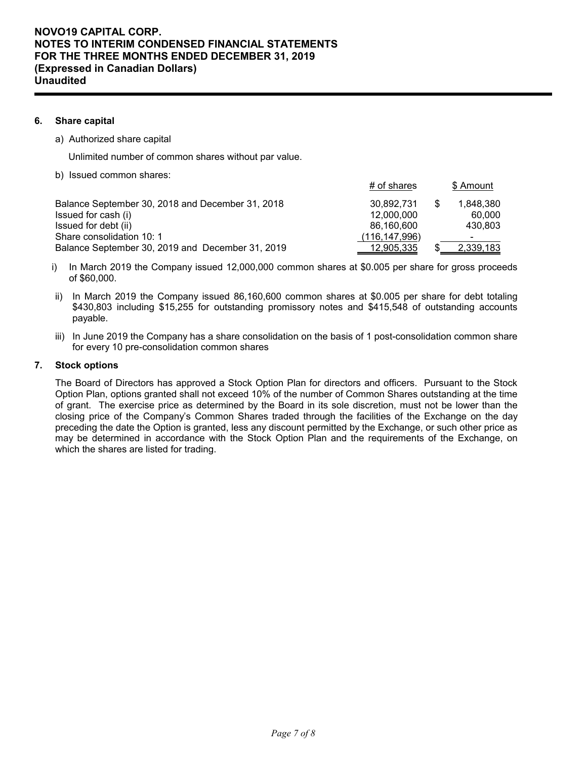## **6. Share capital**

a) Authorized share capital

Unlimited number of common shares without par value.

b) Issued common shares:

|                                                  | # of shares   |   | \$ Amount      |
|--------------------------------------------------|---------------|---|----------------|
| Balance September 30, 2018 and December 31, 2018 | 30.892.731    | S | 1.848.380      |
| Issued for cash (i)                              | 12,000,000    |   | 60,000         |
| Issued for debt (ii)                             | 86.160.600    |   | 430.803        |
| Share consolidation 10: 1                        | (116,147,996) |   | $\blacksquare$ |
| Balance September 30, 2019 and December 31, 2019 | 12,905,335    |   | 2,339,183      |

- i) In March 2019 the Company issued 12,000,000 common shares at \$0.005 per share for gross proceeds of \$60,000.
- ii) In March 2019 the Company issued 86,160,600 common shares at \$0.005 per share for debt totaling \$430,803 including \$15,255 for outstanding promissory notes and \$415,548 of outstanding accounts payable.
- iii) In June 2019 the Company has a share consolidation on the basis of 1 post-consolidation common share for every 10 pre-consolidation common shares

### **7. Stock options**

The Board of Directors has approved a Stock Option Plan for directors and officers. Pursuant to the Stock Option Plan, options granted shall not exceed 10% of the number of Common Shares outstanding at the time of grant. The exercise price as determined by the Board in its sole discretion, must not be lower than the closing price of the Company's Common Shares traded through the facilities of the Exchange on the day preceding the date the Option is granted, less any discount permitted by the Exchange, or such other price as may be determined in accordance with the Stock Option Plan and the requirements of the Exchange, on which the shares are listed for trading.